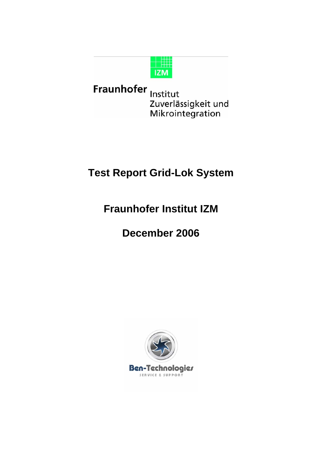

Fraunhofer Institut Zuverlässigkeit und Mikrointegration

## **Test Report Grid-Lok System**

## **Fraunhofer Institut IZM**

# **December 2006**

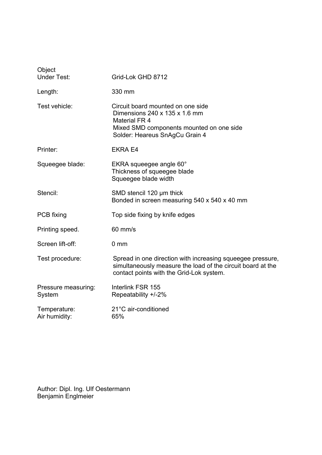| Object<br><b>Under Test:</b>  | Grid-Lok GHD 8712                                                                                                                                                        |  |
|-------------------------------|--------------------------------------------------------------------------------------------------------------------------------------------------------------------------|--|
| Length:                       | 330 mm                                                                                                                                                                   |  |
| Test vehicle:                 | Circuit board mounted on one side<br>Dimensions 240 x 135 x 1.6 mm<br><b>Material FR 4</b><br>Mixed SMD components mounted on one side<br>Solder: Heareus SnAgCu Grain 4 |  |
| Printer:                      | <b>EKRA E4</b>                                                                                                                                                           |  |
| Squeegee blade:               | EKRA squeegee angle 60°<br>Thickness of squeegee blade<br>Squeegee blade width                                                                                           |  |
| Stencil:                      | SMD stencil 120 µm thick<br>Bonded in screen measuring 540 x 540 x 40 mm                                                                                                 |  |
| PCB fixing                    | Top side fixing by knife edges                                                                                                                                           |  |
| Printing speed.               | 60 mm/s                                                                                                                                                                  |  |
| Screen lift-off:              | 0 <sub>mm</sub>                                                                                                                                                          |  |
| Test procedure:               | Spread in one direction with increasing squeegee pressure,<br>simultaneously measure the load of the circuit board at the<br>contact points with the Grid-Lok system.    |  |
| Pressure measuring:<br>System | Interlink FSR 155<br>Repeatability +/-2%                                                                                                                                 |  |
| Temperature:<br>Air humidity: | 21°C air-conditioned<br>65%                                                                                                                                              |  |

Author: Dipl. Ing. Ulf Oestermann Benjamin Englmeier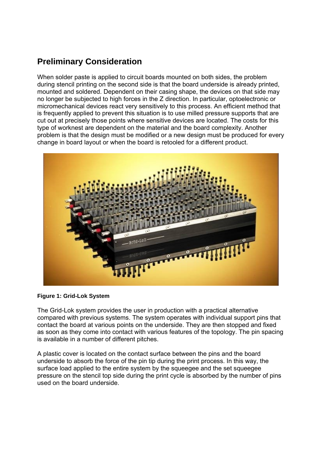### **Preliminary Consideration**

When solder paste is applied to circuit boards mounted on both sides, the problem during stencil printing on the second side is that the board underside is already printed, mounted and soldered. Dependent on their casing shape, the devices on that side may no longer be subjected to high forces in the Z direction. In particular, optoelectronic or micromechanical devices react very sensitively to this process. An efficient method that is frequently applied to prevent this situation is to use milled pressure supports that are cut out at precisely those points where sensitive devices are located. The costs for this type of worknest are dependent on the material and the board complexity. Another problem is that the design must be modified or a new design must be produced for every change in board layout or when the board is retooled for a different product.



#### **Figure 1: Grid-Lok System**

The Grid-Lok system provides the user in production with a practical alternative compared with previous systems. The system operates with individual support pins that contact the board at various points on the underside. They are then stopped and fixed as soon as they come into contact with various features of the topology. The pin spacing is available in a number of different pitches.

A plastic cover is located on the contact surface between the pins and the board underside to absorb the force of the pin tip during the print process. In this way, the surface load applied to the entire system by the squeegee and the set squeegee pressure on the stencil top side during the print cycle is absorbed by the number of pins used on the board underside.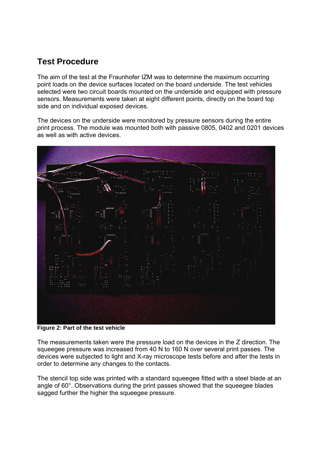### **Test Procedure**

The aim of the test at the Fraunhofer IZM was to determine the maximum occurring point loads on the device surfaces located on the board underside. The test vehicles selected were two circuit boards mounted on the underside and equipped with pressure sensors. Measurements were taken at eight different points, directly on the board top side and on individual exposed devices.

The devices on the underside were monitored by pressure sensors during the entire print process. The module was mounted both with passive 0805, 0402 and 0201 devices as well as with active devices.



**Figure 2: Part of the test vehicle** 

The measurements taken were the pressure load on the devices in the Z direction. The squeegee pressure was increased from 40 N to 160 N over several print passes. The devices were subjected to light and X-ray microscope tests before and after the tests in order to determine any changes to the contacts.

The stencil top side was printed with a standard squeegee fitted with a steel blade at an angle of 60°. Observations during the print passes showed that the squeegee blades sagged further the higher the squeegee pressure.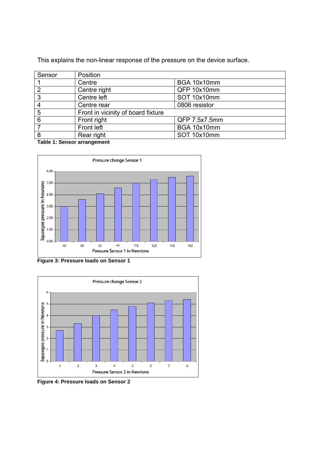This explains the non-linear response of the pressure on the device surface.

| Sensor | Position                           |               |  |
|--------|------------------------------------|---------------|--|
|        | Centre                             | BGA 10x10mm   |  |
| 2      | Centre right                       | QFP 10x10mm   |  |
| 3      | Centre left                        | SOT 10x10mm   |  |
| 4      | Centre rear                        | 0806 resistor |  |
| 5      | Front in vicinity of board fixture |               |  |
| 6      | Front right                        | QFP 7.5x7.5mm |  |
|        | Front left                         | BGA 10x10mm   |  |
| 8      | Rear right                         | SOT 10x10mm   |  |

**Table 1: Sensor arrangement** 



**Figure 3: Pressure loads on Sensor 1** 



**Figure 4: Pressure loads on Sensor 2**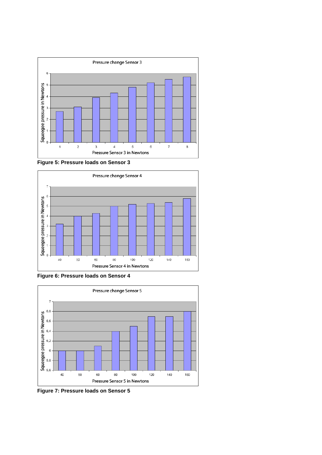





**Figure 6: Pressure loads on Sensor 4** 



**Figure 7: Pressure loads on Sensor 5**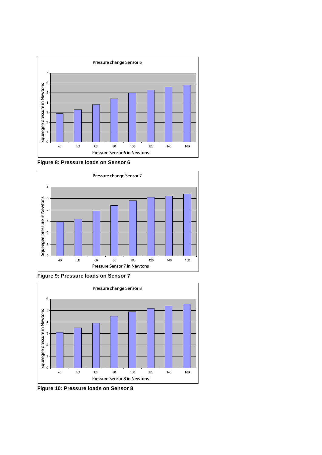

**Figure 8: Pressure loads on Sensor 6** 



**Figure 9: Pressure loads on Sensor 7** 



**Figure 10: Pressure loads on Sensor 8**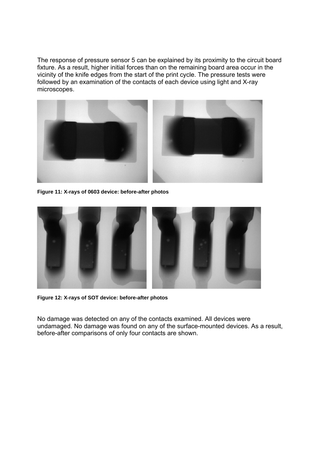The response of pressure sensor 5 can be explained by its proximity to the circuit board fixture. As a result, higher initial forces than on the remaining board area occur in the vicinity of the knife edges from the start of the print cycle. The pressure tests were followed by an examination of the contacts of each device using light and X-ray microscopes.



**Figure 11: X-rays of 0603 device: before-after photos** 



**Figure 12: X-rays of SOT device: before-after photos** 

No damage was detected on any of the contacts examined. All devices were undamaged. No damage was found on any of the surface-mounted devices. As a result, before-after comparisons of only four contacts are shown.